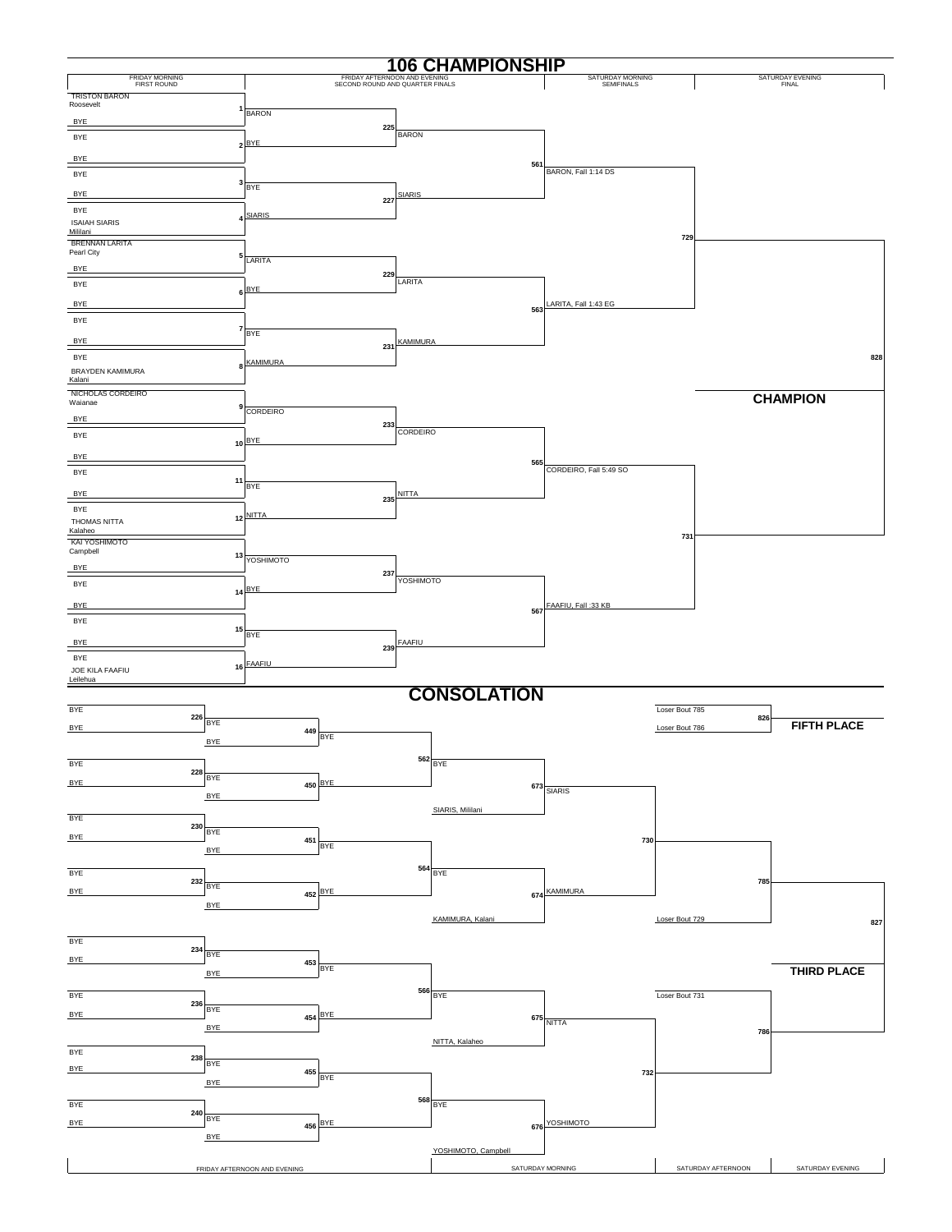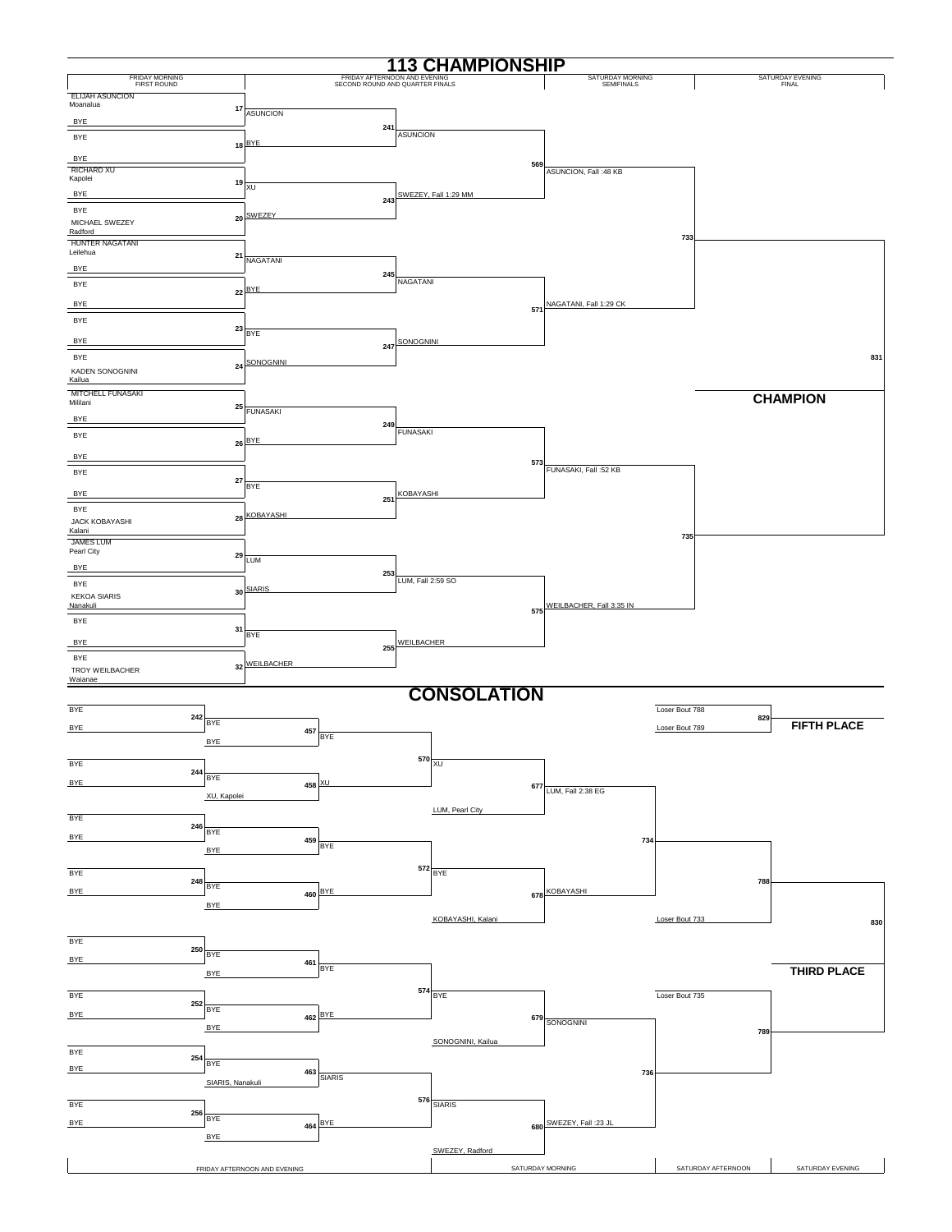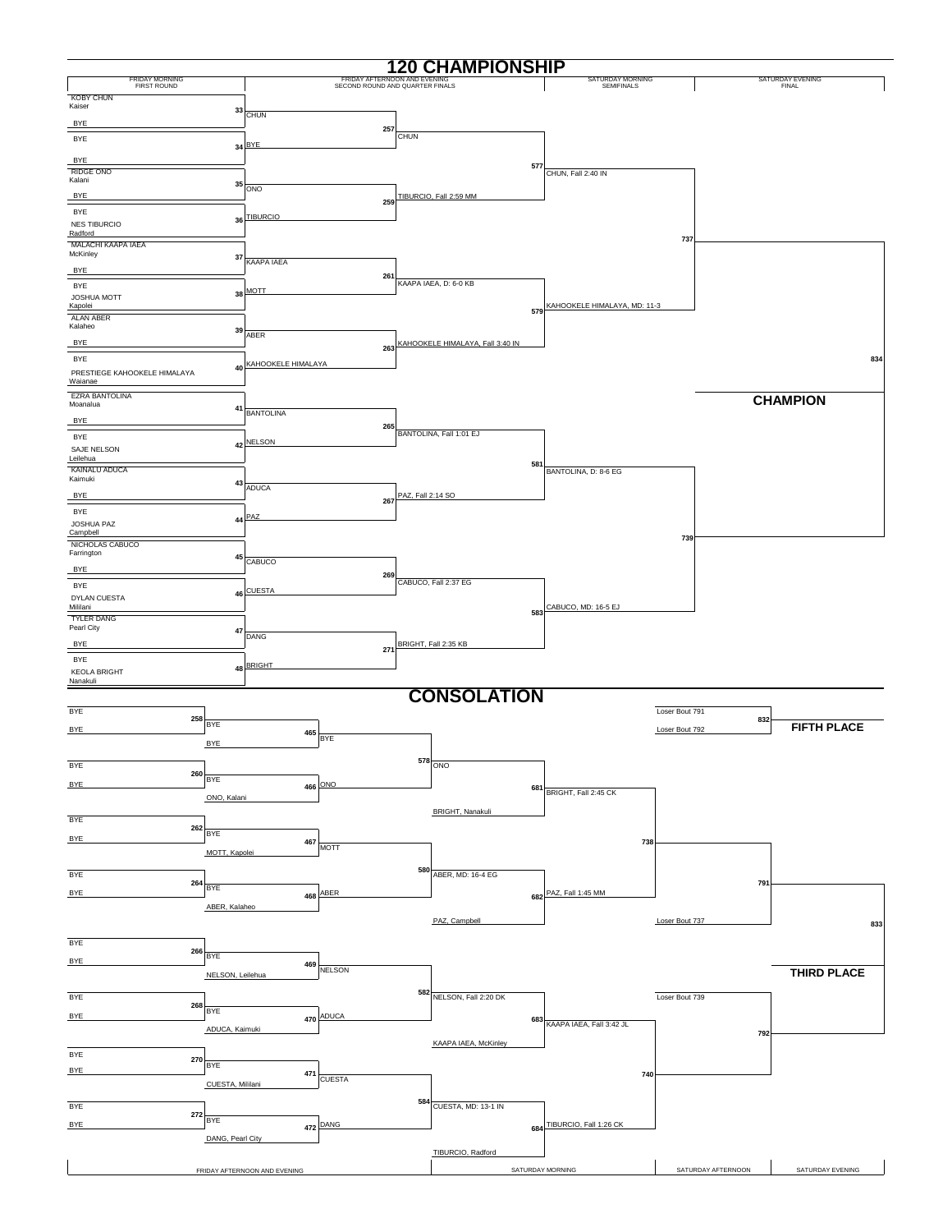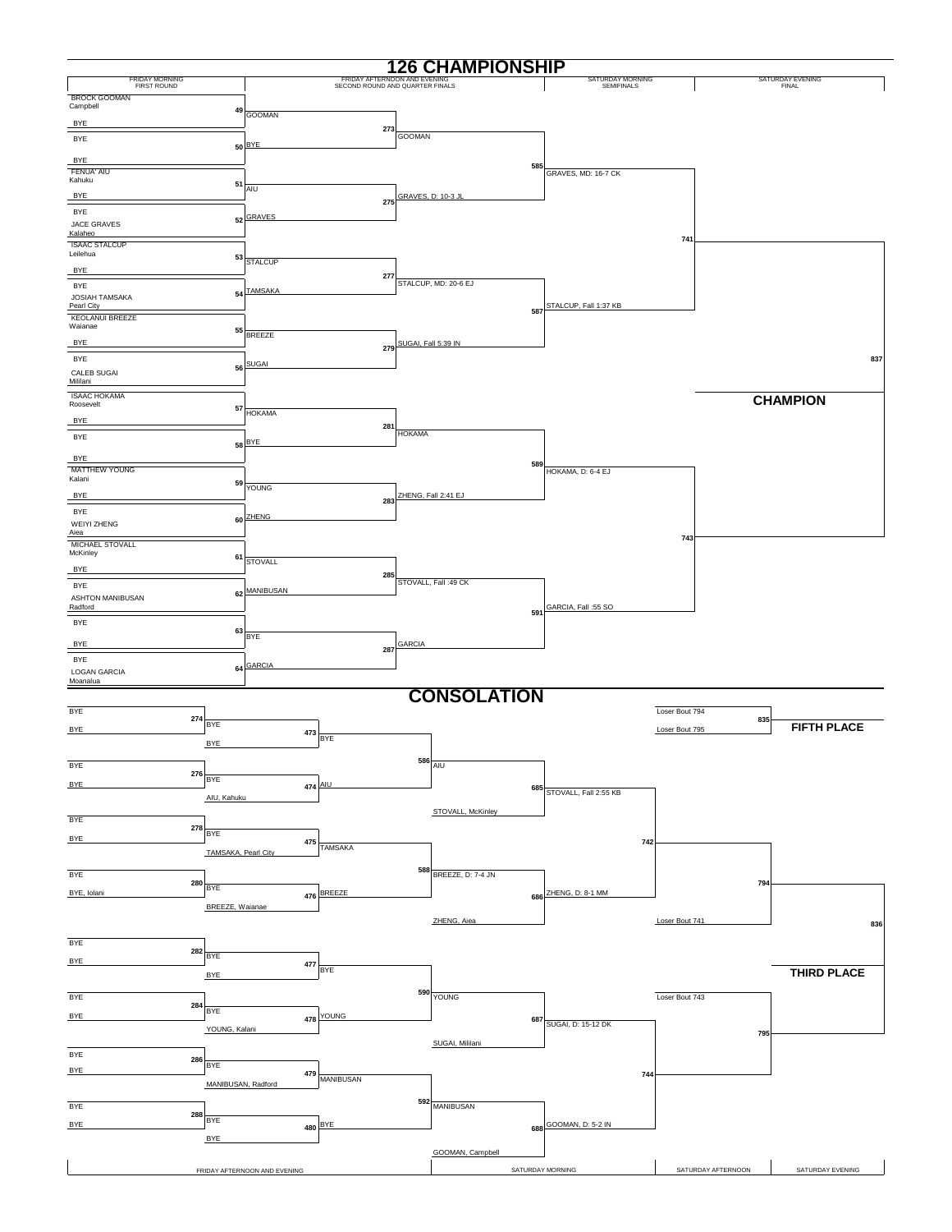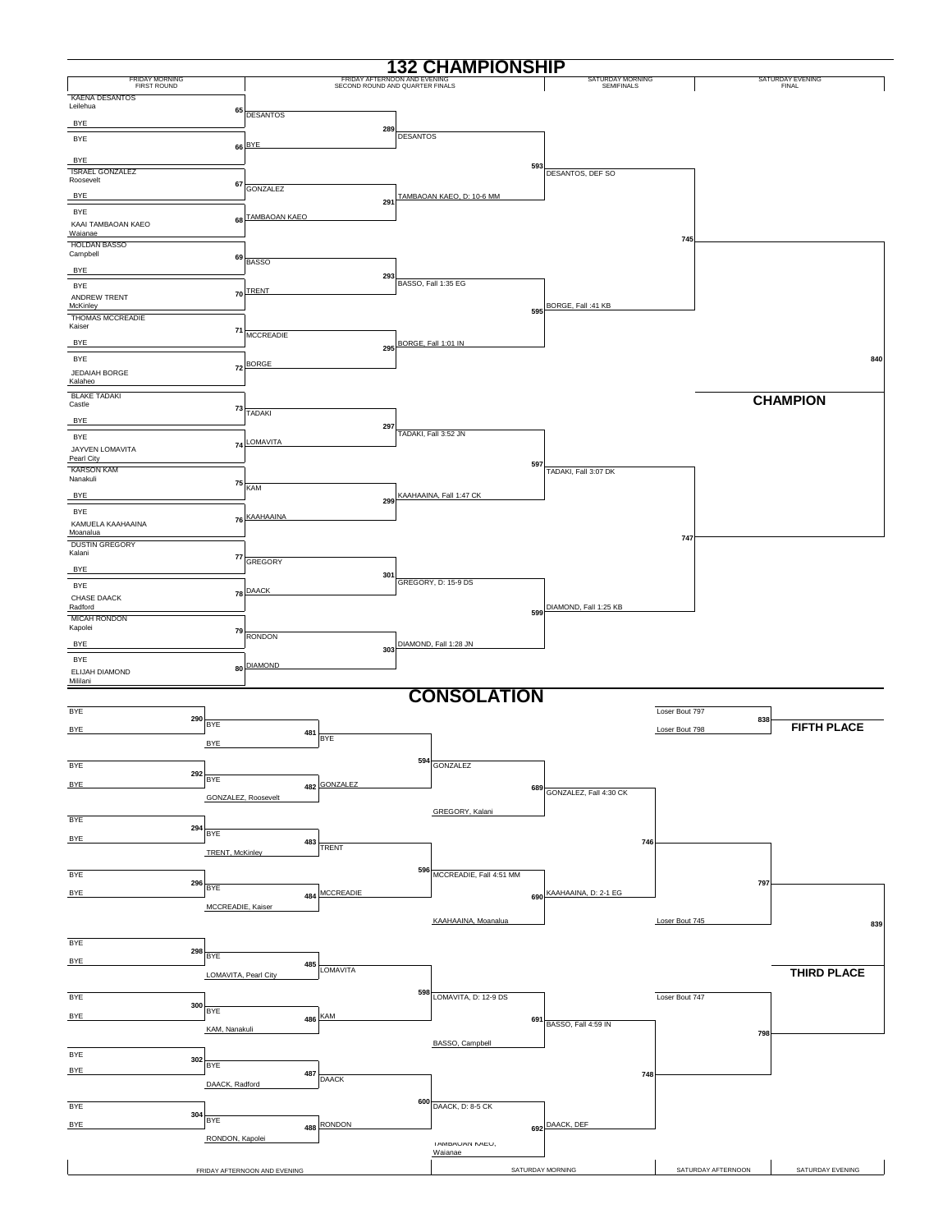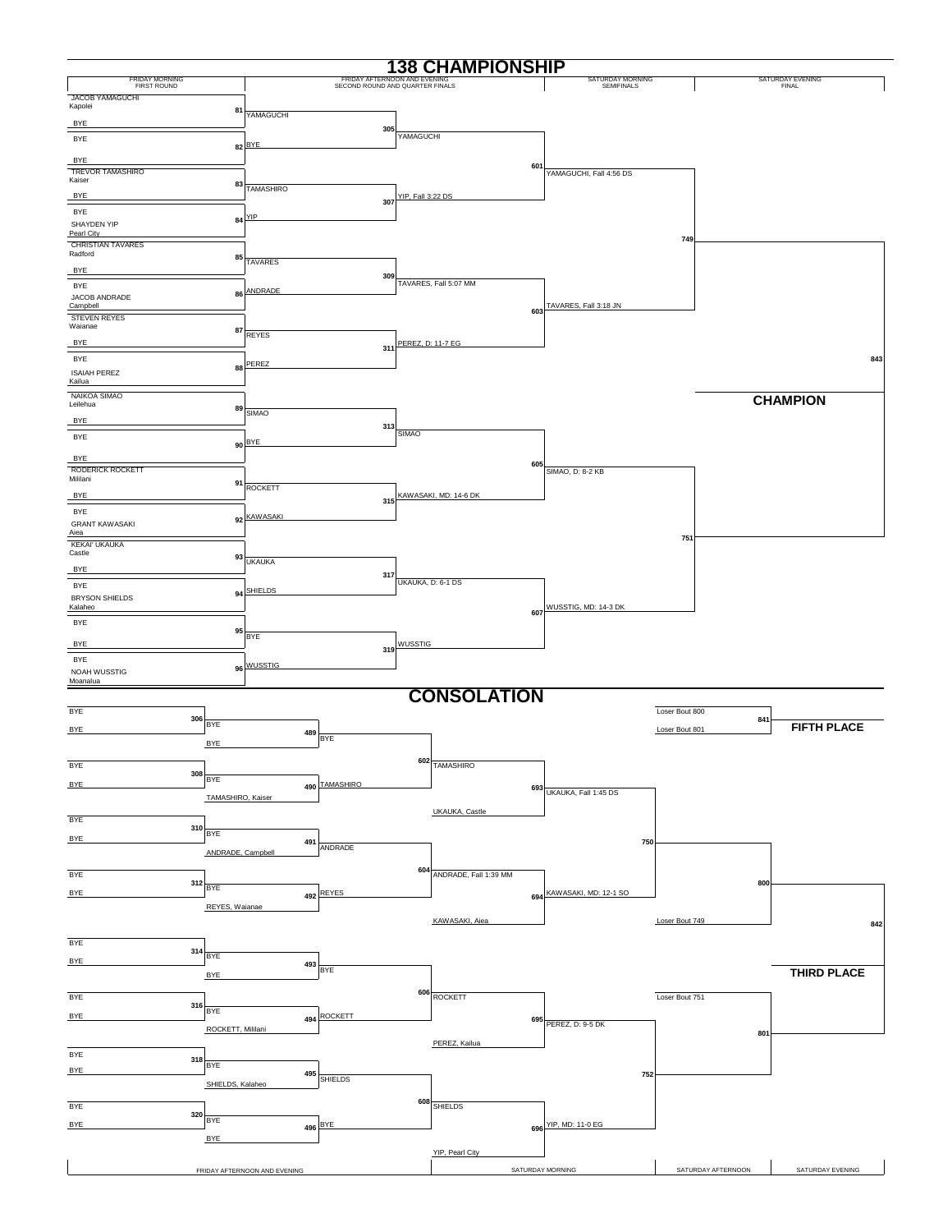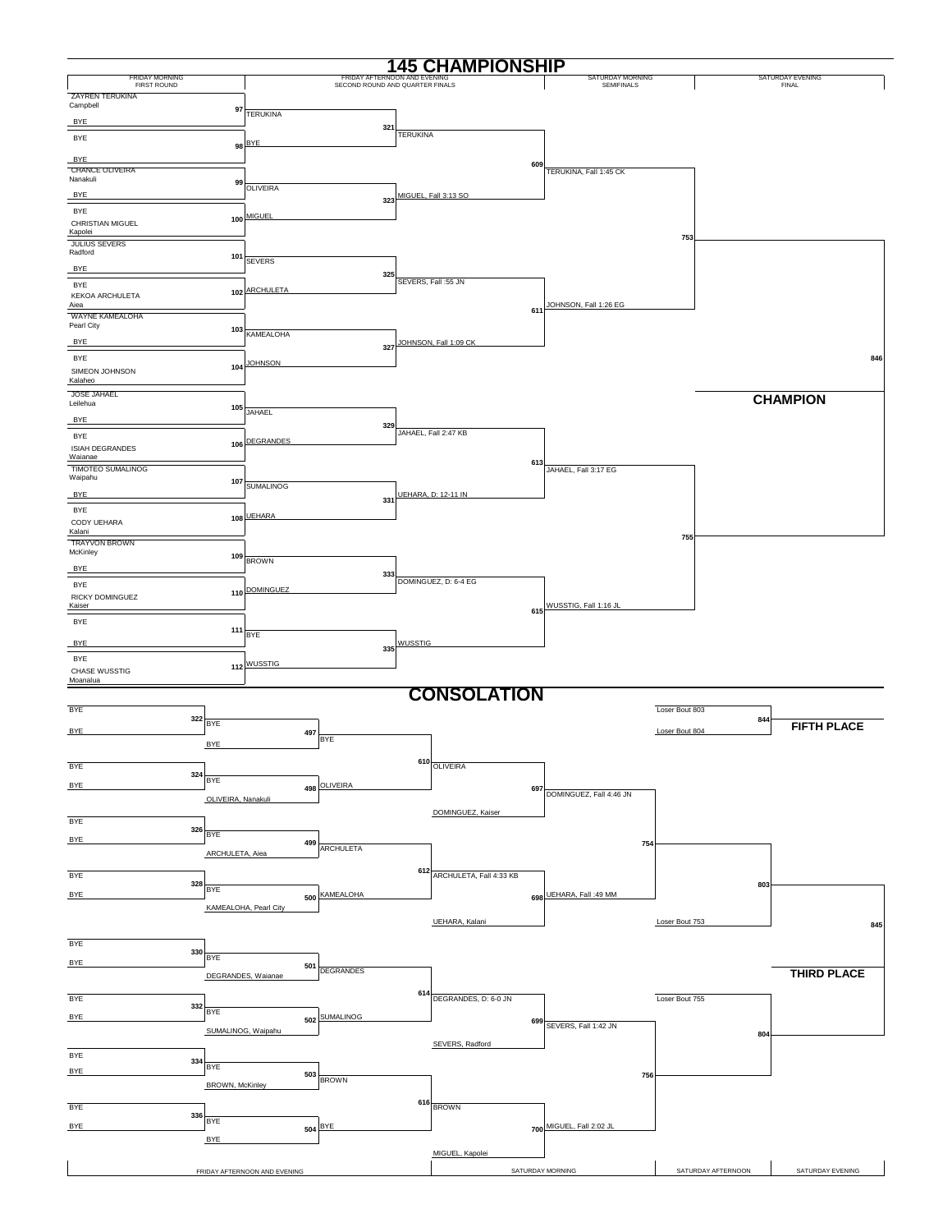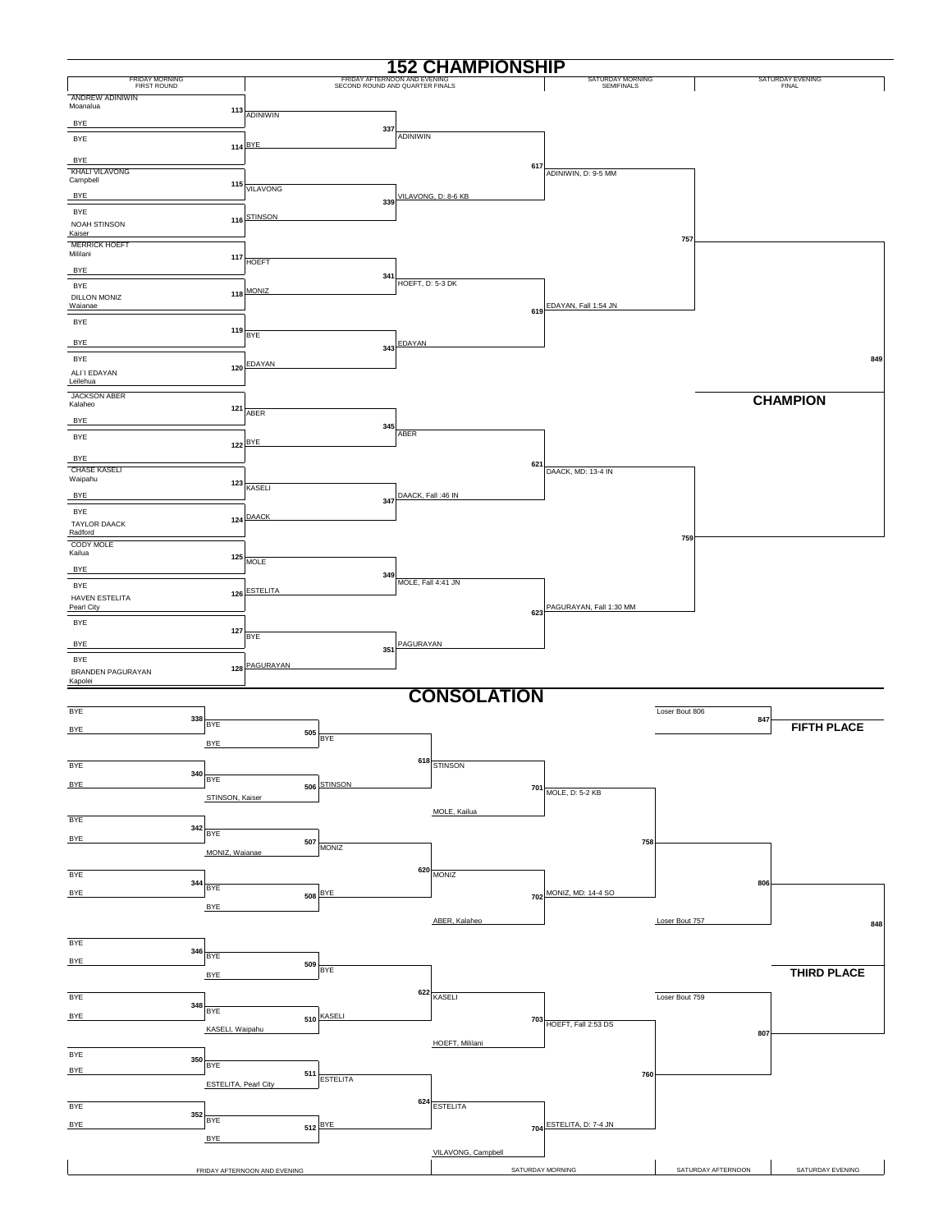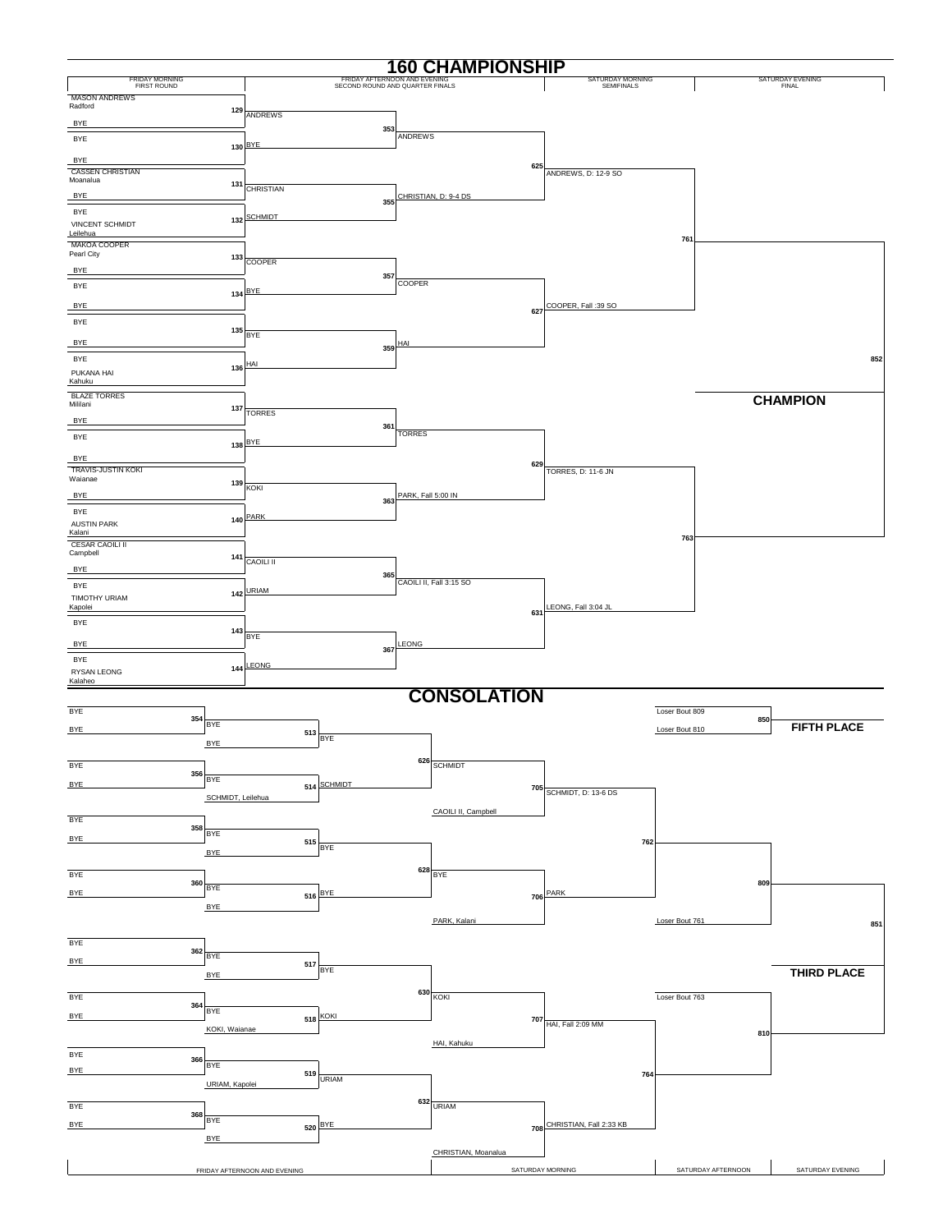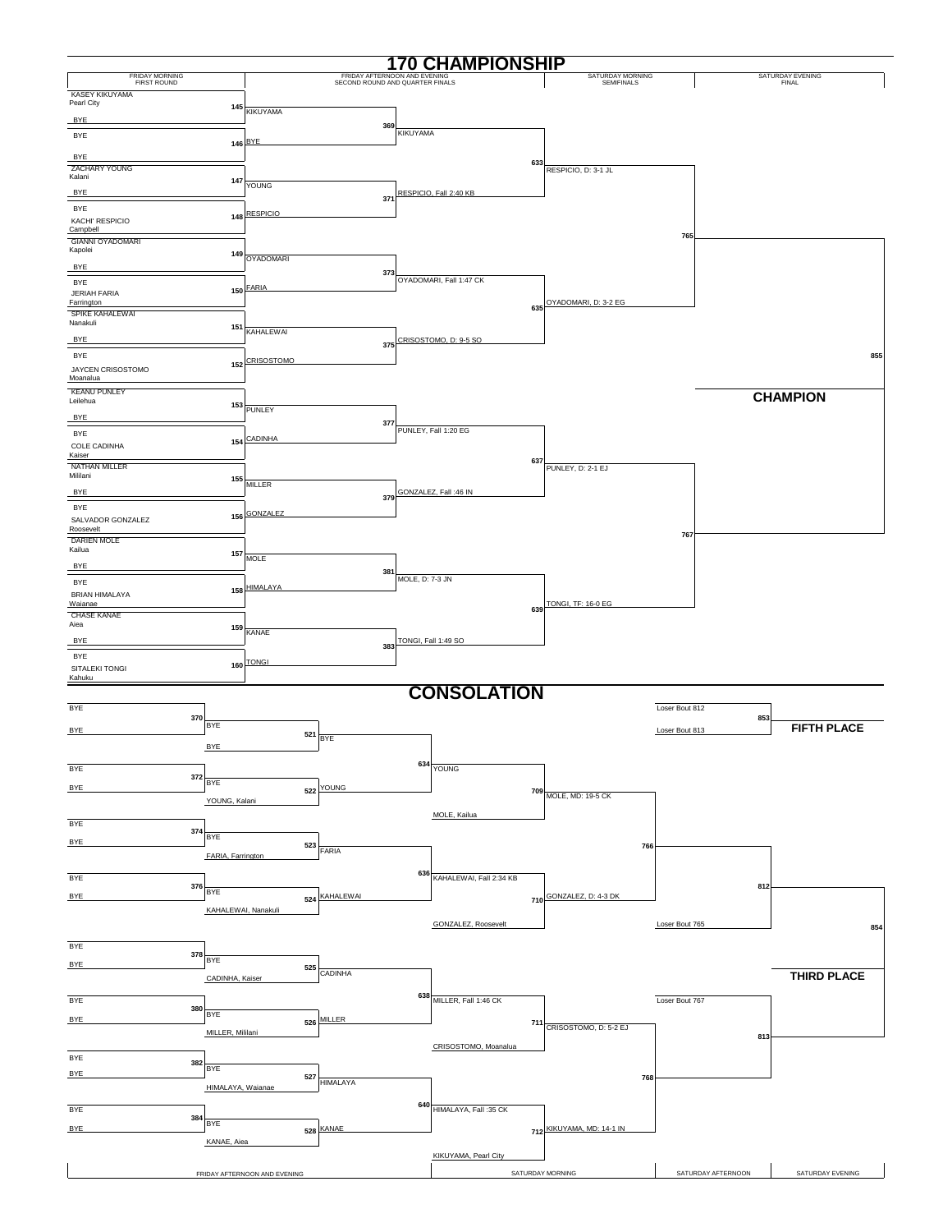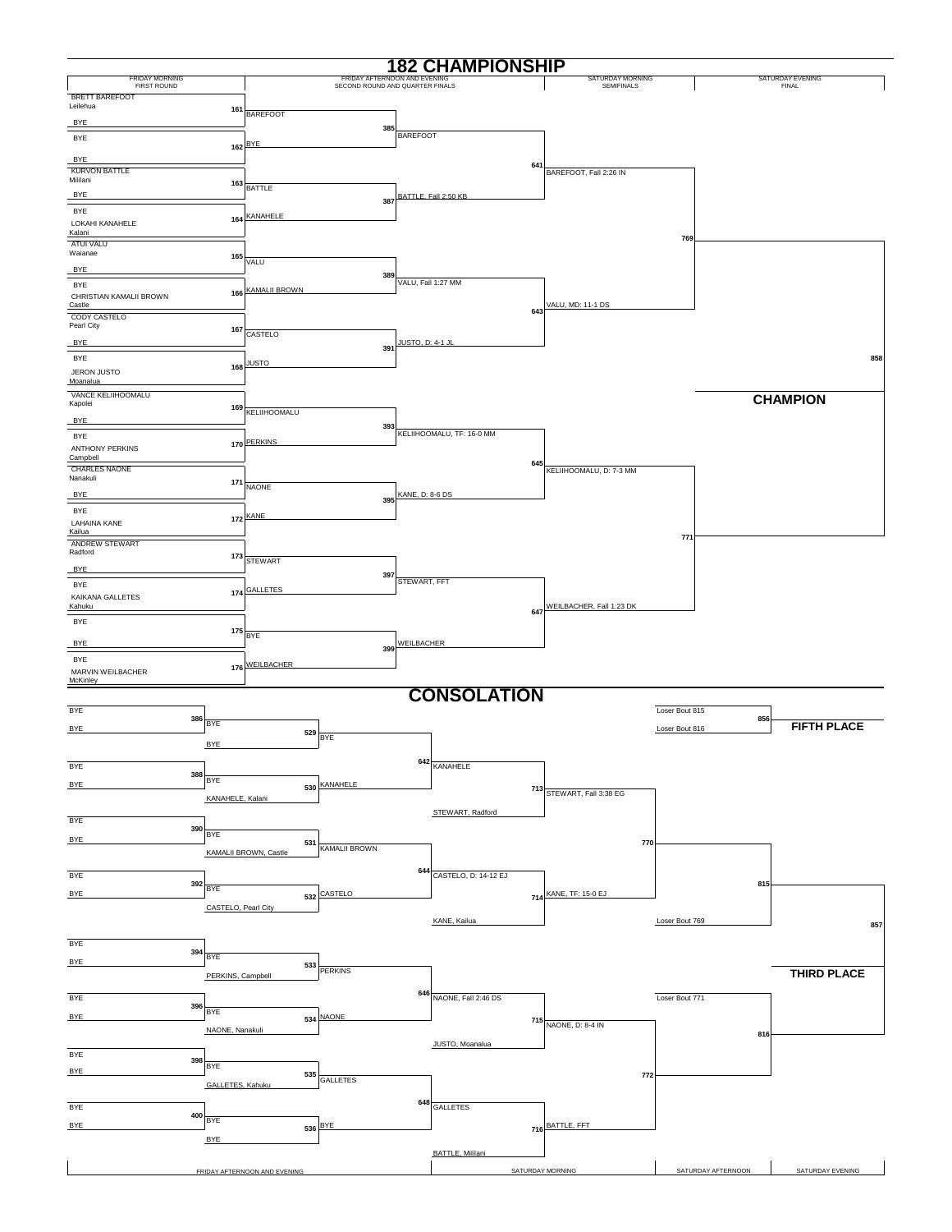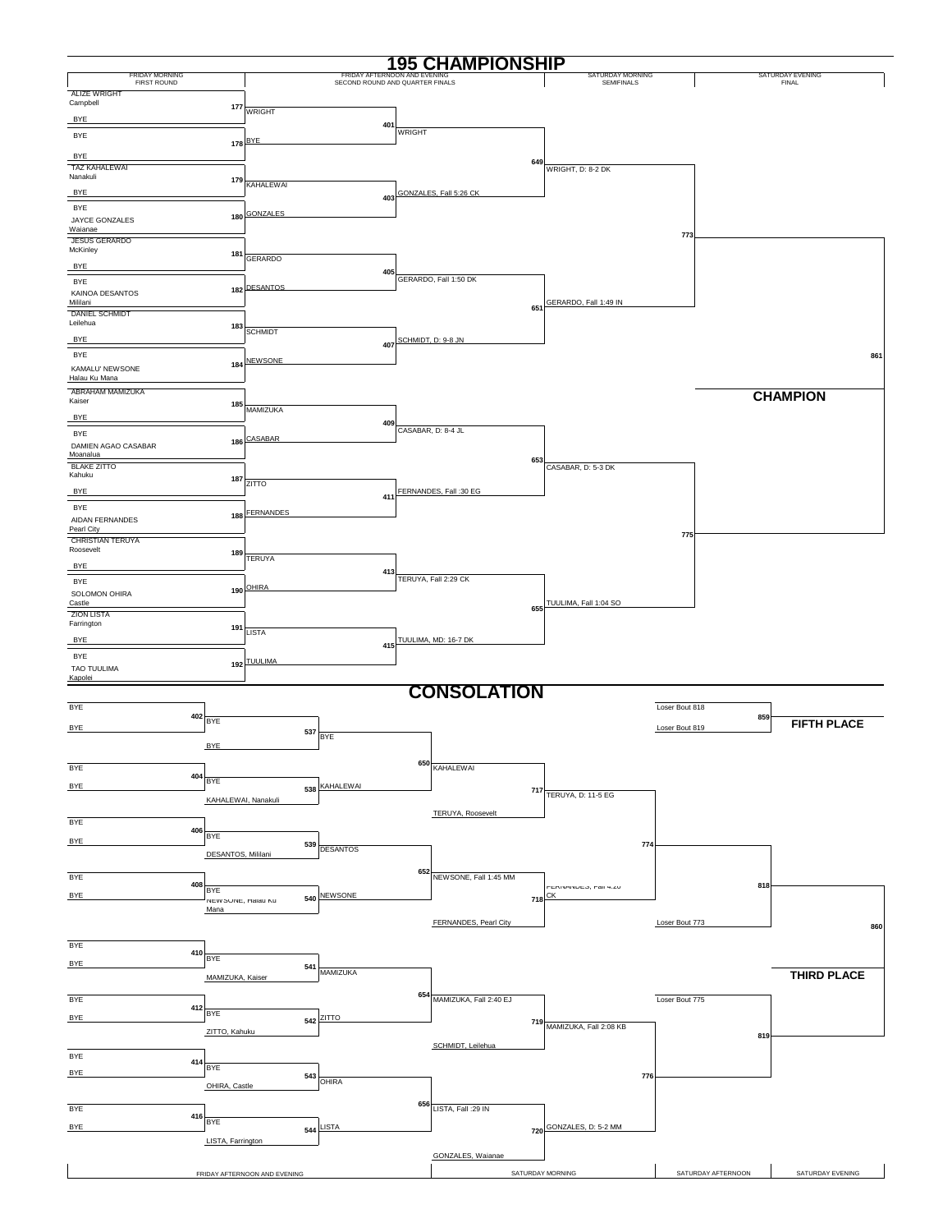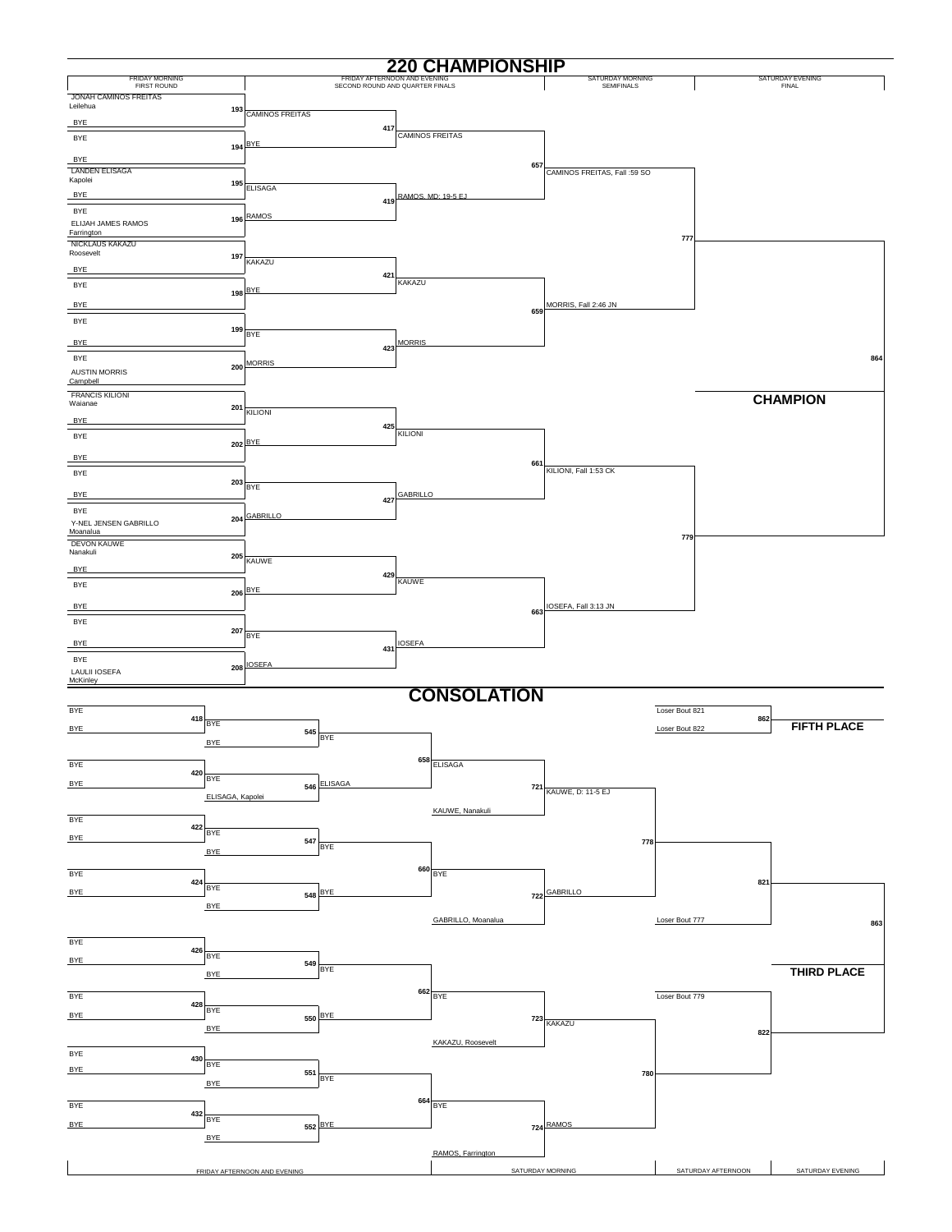